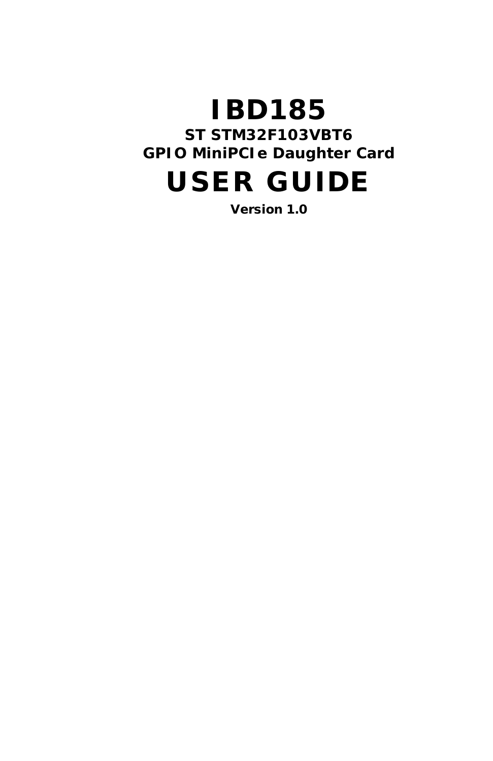# **IBD185 ST STM32F103VBT6 GPIO MiniPCIe Daughter Card**

# USER GUIDE

Version 1.0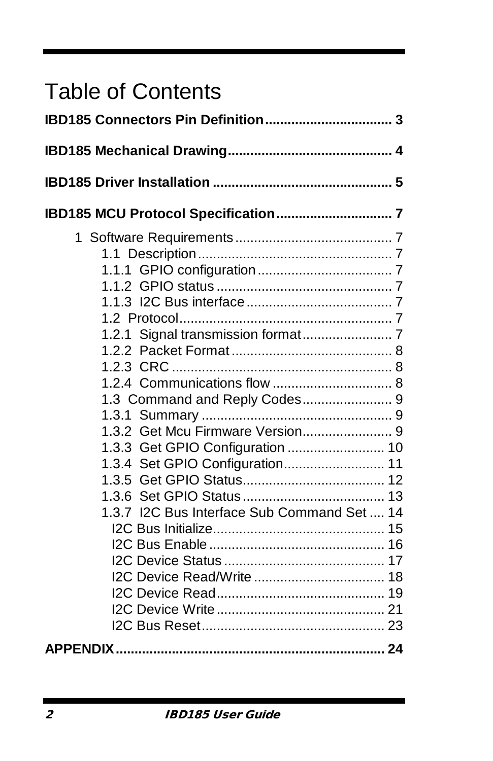# Table of Contents

| 1.3 Command and Reply Codes 9               |  |
|---------------------------------------------|--|
|                                             |  |
|                                             |  |
| 1.3.3 Get GPIO Configuration  10            |  |
| 1.3.4 Set GPIO Configuration 11             |  |
|                                             |  |
|                                             |  |
| 1.3.7 I2C Bus Interface Sub Command Set  14 |  |
|                                             |  |
|                                             |  |
|                                             |  |
|                                             |  |
|                                             |  |
|                                             |  |
|                                             |  |
|                                             |  |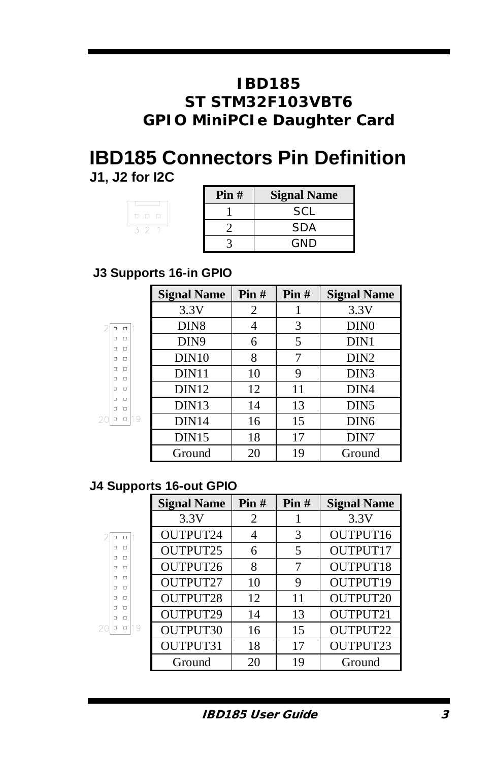# **IBD185 ST STM32F103VBT6 GPIO MiniPCIe Daughter Card**

# **IBD185 Connectors Pin Definition J1, J2 for I2C**

| $\begin{array}{cccccccccccccc} \Box & \Box & \Box & \Box \end{array}$ |  |  |
|-----------------------------------------------------------------------|--|--|
|                                                                       |  |  |
|                                                                       |  |  |

| Pin# | <b>Signal Name</b> |  |
|------|--------------------|--|
|      | SCL.               |  |
|      | SDA                |  |
|      | GND                |  |

# **J3 Supports 16-in GPIO**

|                            | <b>Signal Name</b> | $\text{Pin } H$ | Pin# | <b>Signal Name</b> |
|----------------------------|--------------------|-----------------|------|--------------------|
|                            | 3.3V               | 2               |      | 3.3V               |
| $\Box$<br>п                | DIN <sub>8</sub>   | 4               | 3    | DIN <sub>0</sub>   |
| α<br>о<br>$\Box$<br>п      | DIN <sub>9</sub>   | 6               | 5    | DIN1               |
| $\Box$<br>п                | DIN10              | 8               | 7    | DIN <sub>2</sub>   |
| $\Box$<br>п<br>$\Box$<br>п | DIN <sub>11</sub>  | 10              | 9    | DIN <sub>3</sub>   |
| $\Box$<br>α                | DIN <sub>12</sub>  | 12              | 11   | DIN4               |
| $\Box$<br>п<br>п<br>$\Box$ | DIN <sub>13</sub>  | 14              | 13   | DIN <sub>5</sub>   |
| 9<br>$\Box$<br>α           | DIN <sub>14</sub>  | 16              | 15   | DIN <sub>6</sub>   |
|                            | DIN15              | 18              | 17   | DIN7               |
|                            | Ground             | 20              | 19   | Ground             |

## **J4 Supports 16-out GPIO**

|                            | <b>Signal Name</b> | $\text{Pin } H$ | Pin# | <b>Signal Name</b> |
|----------------------------|--------------------|-----------------|------|--------------------|
|                            | 3.3V               | 2               |      | 3.3V               |
| $\Box$<br>$\Box$           | OUTPUT24           | 4               | 3    | OUTPUT16           |
| $\Box$<br>п<br>л<br>п      | OUTPUT25           | 6               | 5    | OUTPUT17           |
| $\Box$<br>$\Box$           | OUTPUT26           | 8               |      | OUTPUT18           |
| п<br>$\Box$<br>п<br>$\Box$ | OUTPUT27           | 10              | 9    | OUTPUT19           |
| л<br>п                     | OUTPUT28           | 12              | 11   | <b>OUTPUT20</b>    |
| л<br>п<br>$\Box$<br>п      | OUTPUT29           | 14              | 13   | OUTPUT21           |
| l1 9<br>$\Box$<br>α        | OUTPUT30           | 16              | 15   | <b>OUTPUT22</b>    |
|                            | OUTPUT31           | 18              | 17   | OUTPUT23           |
|                            | Ground             | 20              | 19   | Ground             |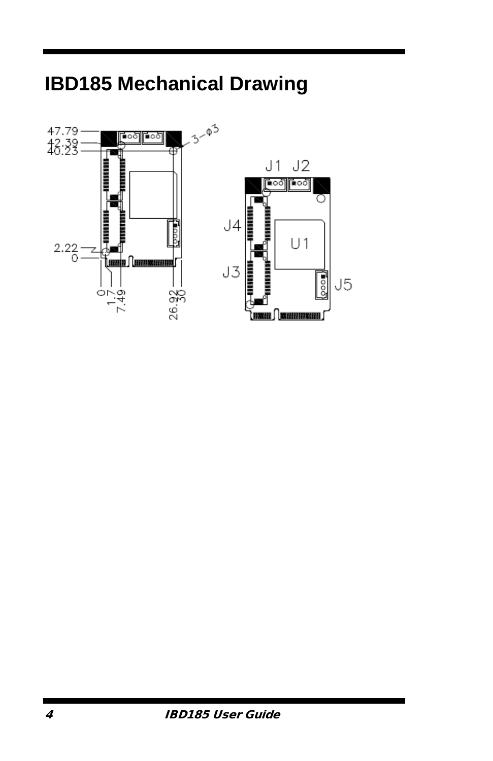

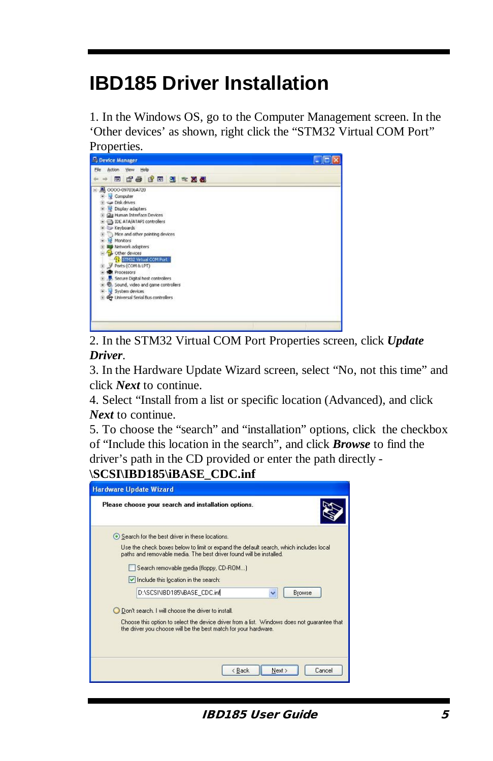# **IBD185 Driver Installation**

1. In the Windows OS, go to the Computer Management screen. In the 'Other devices' as shown, right click the "STM32 Virtual COM Port"



2. In the STM32 Virtual COM Port Properties screen, click *Update Driver*.

3. In the Hardware Update Wizard screen, select "No, not this time" and click *Next* to continue.

4. Select "Install from a list or specific location (Advanced), and click *Next* to continue.

5. To choose the "search" and "installation" options, click the checkbox of "Include this location in the search", and click *Browse* to find the driver's path in the CD provided or enter the path directly -

## **\SCSI\IBD185\iBASE\_CDC.inf**

| <b>Hardware Update Wizard</b>                                                                                                                                  |
|----------------------------------------------------------------------------------------------------------------------------------------------------------------|
| Please choose your search and installation options.                                                                                                            |
| Search for the best driver in these locations.                                                                                                                 |
| Use the check boxes below to limit or expand the default search, which includes local<br>paths and removable media. The best driver found will be installed.   |
| Search removable media (floppy, CD-ROM)                                                                                                                        |
| Include this location in the search:                                                                                                                           |
| D:\SCSI\IBD185\iBASE_CDC.inf<br>Browse<br>v                                                                                                                    |
| O Don't search. I will choose the driver to install.                                                                                                           |
| Choose this option to select the device driver from a list. Windows does not quarantee that<br>the driver you choose will be the best match for your hardware. |
| Next ><br>< Back<br>Cancel                                                                                                                                     |

**IBD185 User Guide** 5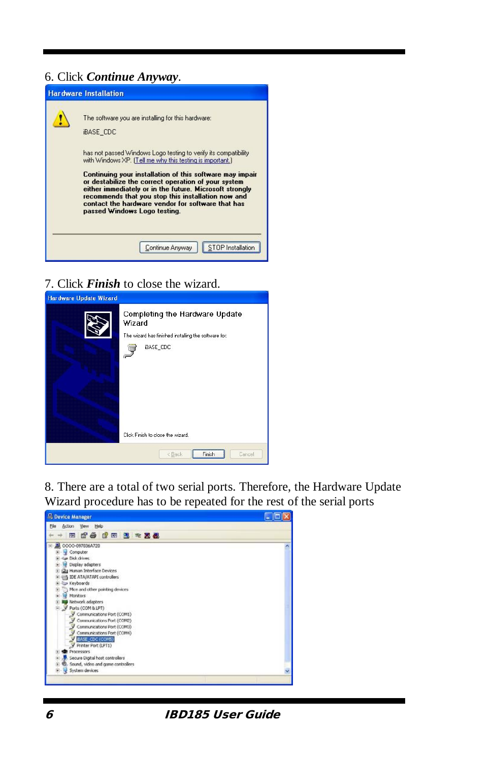## 6. Click *Continue Anyway*.



7. Click *Finish* to close the wizard.



8. There are a total of two serial ports. Therefore, the Hardware Update Wizard procedure has to be repeated for the rest of the serial ports

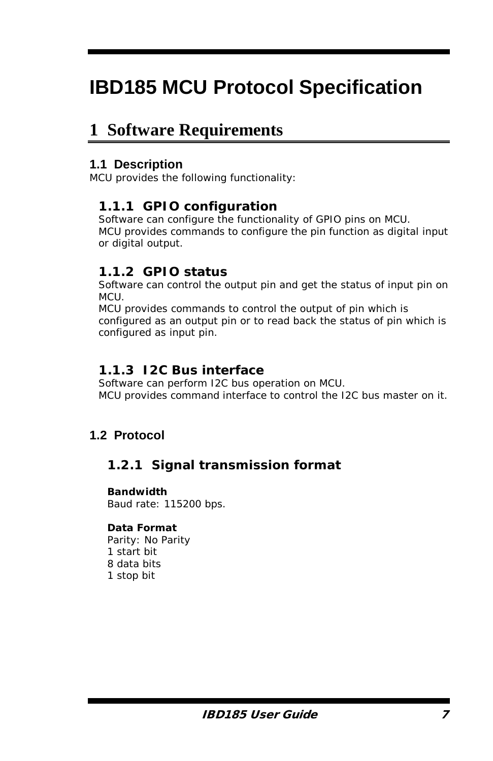# **IBD185 MCU Protocol Specification**

# **1 Software Requirements**

## **1.1 Description**

MCU provides the following functionality:

## **1.1.1 GPIO configuration**

Software can configure the functionality of GPIO pins on MCU. MCU provides commands to configure the pin function as digital input or digital output.

# **1.1.2 GPIO status**

Software can control the output pin and get the status of input pin on MCU.

MCU provides commands to control the output of pin which is configured as an output pin or to read back the status of pin which is configured as input pin.

## **1.1.3 I2C Bus interface**

Software can perform I2C bus operation on MCU. MCU provides command interface to control the I2C bus master on it.

# **1.2 Protocol**

# **1.2.1 Signal transmission format**

#### **Bandwidth**

Baud rate: 115200 bps.

### **Data Format**

Parity: No Parity 1 start bit 8 data bits 1 stop bit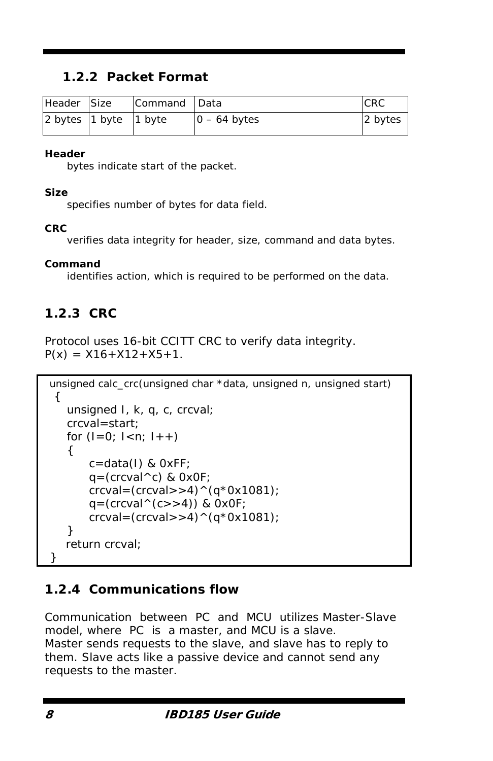# **1.2.2 Packet Format**

| Header Size               | Command Data |                | <b>CRC</b> |
|---------------------------|--------------|----------------|------------|
| 2 bytes $1$ byte $1$ byte |              | $0 - 64$ bytes | 2 bytes    |

#### **Header**

bytes indicate start of the packet.

#### **Size**

specifies number of bytes for data field.

### **CRC**

verifies data integrity for header, size, command and data bytes.

### **Command**

identifies action, which is required to be performed on the data.

# **1.2.3 CRC**

Protocol uses 16-bit CCITT CRC to verify data integrity.  $P(x) = X16 + X12 + X5 + 1$ .

```
unsigned calc_crc(unsigned char *data, unsigned n, unsigned start)
 { 
    unsigned I, k, q, c, crcval; 
    crcval=start; 
   for (I=0; I<n; I++){ 
        c=data(I) & 0xFF; 
       q = (crcval \wedge c) & OxOF;
       creval=(creval>4)^(q*0x1081);q=(crcval(c)>4)) & OxOF;
       crcval=(crcval>>4)^(q*0x1081);
    } 
    return crcval; 
}
```
# **1.2.4 Communications flow**

Communication between PC and MCU utilizes Master-Slave model, where PC is a master, and MCU is a slave. Master sends requests to the slave, and slave has to reply to them. Slave acts like a passive device and cannot send any requests to the master.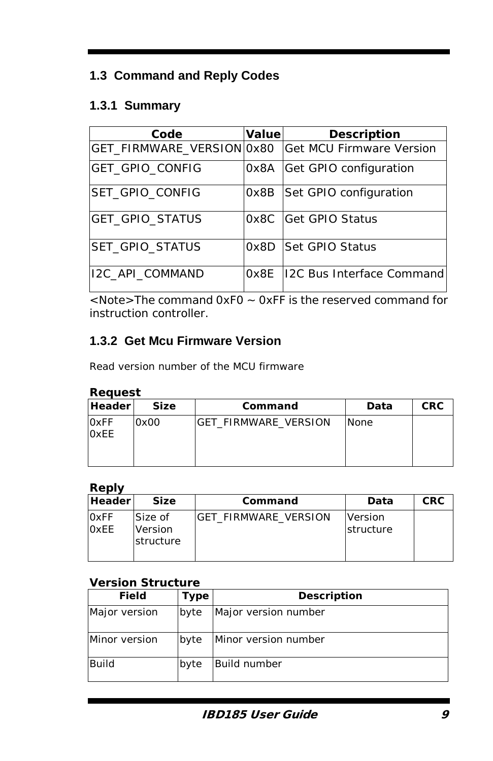# **1.3 Command and Reply Codes**

# **1.3.1 Summary**

| Code                      | Value | <b>Description</b>              |
|---------------------------|-------|---------------------------------|
| GET_FIRMWARE_VERSION 0x80 |       | <b>Get MCU Firmware Version</b> |
| GET GPIO CONFIG           | 0x8A  | Get GPIO configuration          |
| ISET GPIO CONFIG          | 0x8B  | Set GPIO configuration          |
| GET_GPIO_STATUS           | 0x8C  | Get GPIO Status                 |
| SET_GPIO_STATUS           | 0x8D  | <b>Set GPIO Status</b>          |
| I2C API COMMAND           | 0x8E  | 12C Bus Interface Command       |

<Note>The command 0xF0 ~ 0xFF is the reserved command for instruction controller.

# **1.3.2 Get Mcu Firmware Version**

Read version number of the MCU firmware

#### *Request*

| Headerl                     | <b>Size</b> | Command                     | Data | <b>CRC</b> |
|-----------------------------|-------------|-----------------------------|------|------------|
| <b>OxFF</b><br><b>O</b> xEE | 0x00        | <b>GET FIRMWARE VERSION</b> | None |            |

#### *Reply*

| <b>Header</b>       | <b>Size</b>                     | Command               | Data                         | <b>CRC</b> |
|---------------------|---------------------------------|-----------------------|------------------------------|------------|
| <b>OxFF</b><br>OXEE | Size of<br>Version<br>structure | IGET FIRMWARE VERSION | Version<br><b>Istructure</b> |            |

## *Version Structure*

| <b>Field</b>  | Type | <b>Description</b>   |
|---------------|------|----------------------|
| Major version | byte | Major version number |
| Minor version | byte | Minor version number |
| <b>Build</b>  | byte | Build number         |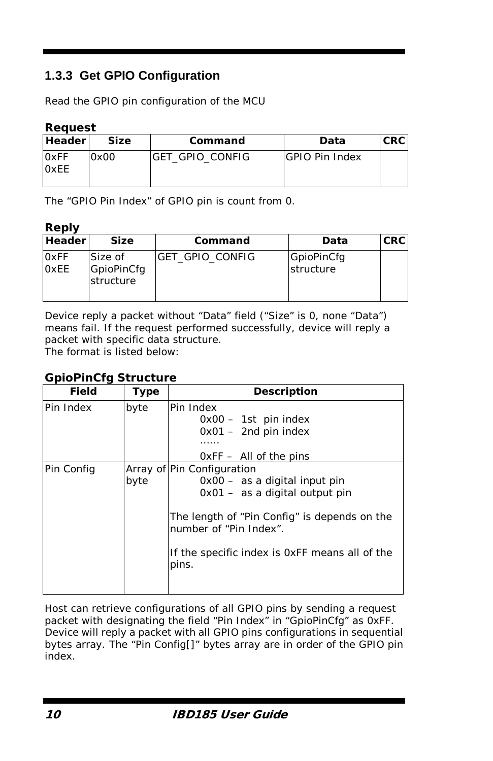# **1.3.3 Get GPIO Configuration**

Read the GPIO pin configuration of the MCU

#### *Request*

| <b>Header</b>              | <b>Size</b> | Command                 | Data                  | <b>CRC</b> |
|----------------------------|-------------|-------------------------|-----------------------|------------|
| <b>OxFF</b><br><b>OxEE</b> | 0x00        | <b>IGET GPIO CONFIG</b> | <b>GPIO Pin Index</b> |            |

The "GPIO Pin Index" of GPIO pin is count from 0.

#### *Reply*

| <b>Header</b>              | <b>Size</b>                        | Command                | Data                    | <b>CRC</b> |
|----------------------------|------------------------------------|------------------------|-------------------------|------------|
| <b>OxFF</b><br><b>OxEE</b> | Size of<br>GpioPinCfg<br>structure | <b>GET GPIO CONFIG</b> | GpioPinCfg<br>structure |            |

Device reply a packet without "Data" field ("Size" is 0, none "Data") means fail. If the request performed successfully, device will reply a packet with specific data structure. The format is listed below:

# *GpioPinCfg Structure*

| <b>Field</b> | <b>Type</b> | Description                                                                                                                                                                                                                          |
|--------------|-------------|--------------------------------------------------------------------------------------------------------------------------------------------------------------------------------------------------------------------------------------|
| Pin Index    | byte        | Pin Index<br>$0x00 - 1st$ pin index<br>$0x01 - 2nd$ pin index<br>.<br>$OxFF - All of the pins$                                                                                                                                       |
| Pin Config   | byte        | Array of Pin Configuration<br>0x00 - as a digital input pin<br>$0x01 - as a digital output pin$<br>The length of "Pin Config" is depends on the<br>number of "Pin Index".<br>If the specific index is OxFF means all of the<br>pins. |

Host can retrieve configurations of all GPIO pins by sending a request packet with designating the field "Pin Index" in "GpioPinCfg" as 0xFF. Device will reply a packet with all GPIO pins configurations in sequential bytes array. The "Pin Config[]" bytes array are in order of the GPIO pin index.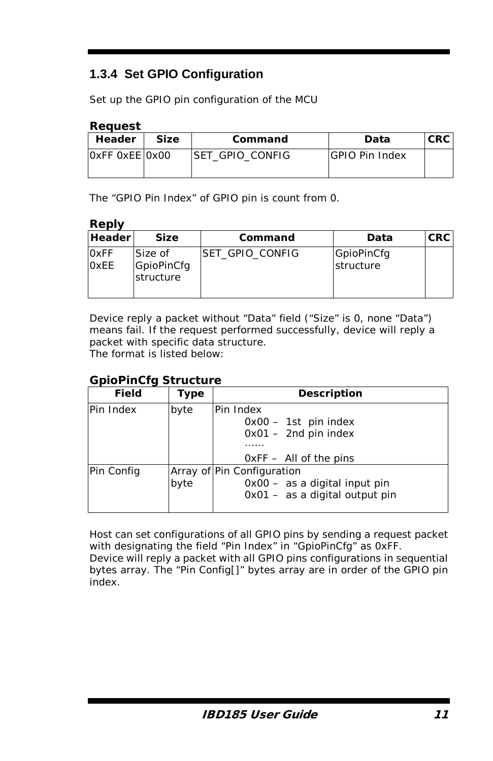# **1.3.4 Set GPIO Configuration**

Set up the GPIO pin configuration of the MCU

#### *Request*

| Header         | <b>Size</b> | Command          | Data           | <b>CRC</b> |
|----------------|-------------|------------------|----------------|------------|
| OXFF OXEE OXOO |             | ISET GPIO CONFIG | GPIO Pin Index |            |

The "GPIO Pin Index" of GPIO pin is count from 0.

#### *Reply*

| <b>Header</b>       | <b>Size</b>                        | Command         | Data                    | <b>CRC</b> |
|---------------------|------------------------------------|-----------------|-------------------------|------------|
| 0xFF<br><b>OxEE</b> | Size of<br>GpioPinCfg<br>structure | SET GPIO CONFIG | GpioPinCfg<br>structure |            |

Device reply a packet without "Data" field ("Size" is 0, none "Data") means fail. If the request performed successfully, device will reply a packet with specific data structure. The format is listed below:

#### *GpioPinCfg Structure*

| Field      | Type | <b>Description</b>                                                                                |
|------------|------|---------------------------------------------------------------------------------------------------|
| Pin Index  | byte | Pin Index<br>$0x00 - 1st$ pin index<br>$0x01 - 2nd$ pin index<br>$0xFF - All$ of the pins         |
| Pin Config | byte | Array of Pin Configuration<br>$0x00 - as a digital input pin$<br>$0x01 - as a digital output pin$ |

Host can set configurations of all GPIO pins by sending a request packet with designating the field "Pin Index" in "GpioPinCfg" as 0xFF. Device will reply a packet with all GPIO pins configurations in sequential bytes array. The "Pin Config[]" bytes array are in order of the GPIO pin index.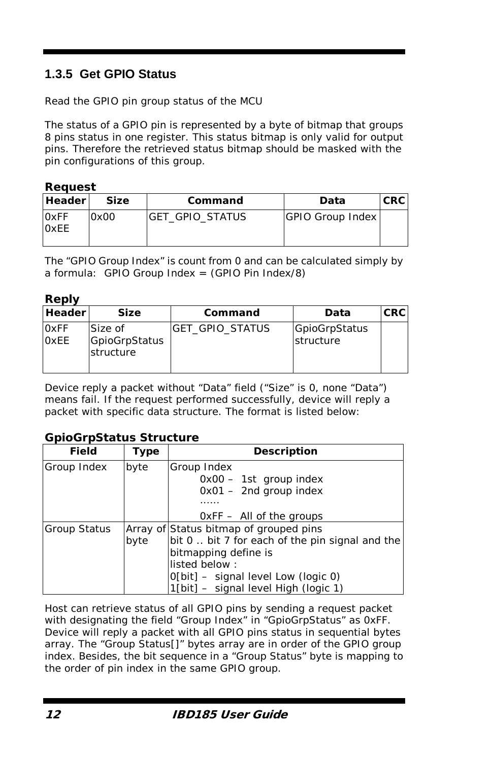# **1.3.5 Get GPIO Status**

Read the GPIO pin group status of the MCU

The status of a GPIO pin is represented by a byte of bitmap that groups 8 pins status in one register. This status bitmap is only valid for output pins. Therefore the retrieved status bitmap should be masked with the pin configurations of this group.

#### *Request*

| <b>Header</b>              | <b>Size</b> | Command          | Data             | <b>CRC</b> |
|----------------------------|-------------|------------------|------------------|------------|
| <b>OxFF</b><br><b>OxEE</b> | 0x00        | IGET GPIO STATUS | GPIO Group Index |            |

The "GPIO Group Index" is count from 0 and can be calculated simply by a formula: GPIO Group Index =  $(GPIO Pin Index/8)$ 

#### *Reply*

| <b>Header</b>              | <b>Size</b>                           | Command                | Data                       | <b>CRC</b> |
|----------------------------|---------------------------------------|------------------------|----------------------------|------------|
| <b>OxFF</b><br><b>OxEE</b> | Size of<br>GpioGrpStatus<br>structure | <b>GET GPIO STATUS</b> | GpioGrpStatus<br>structure |            |

Device reply a packet without "Data" field ("Size" is 0, none "Data") means fail. If the request performed successfully, device will reply a packet with specific data structure. The format is listed below:

#### *GpioGrpStatus Structure*

| Field        | Type | <b>Description</b>                              |
|--------------|------|-------------------------------------------------|
| Group Index  | byte | Group Index                                     |
|              |      | $0x00 - 1st$ group index                        |
|              |      | $0x01 - 2nd$ group index                        |
|              |      |                                                 |
|              |      | $OxFF - All$ of the groups                      |
| Group Status |      | Array of Status bitmap of grouped pins          |
|              | byte | bit 0. bit 7 for each of the pin signal and the |
|              |      | bitmapping define is                            |
|              |      | listed below:                                   |
|              |      | $O[\text{bit}]$ – signal level Low (logic 0)    |
|              |      | $1$ [bit] – signal level High (logic 1)         |

Host can retrieve status of all GPIO pins by sending a request packet with designating the field "Group Index" in "GpioGrpStatus" as 0xFF. Device will reply a packet with all GPIO pins status in sequential bytes array. The "Group Status[]" bytes array are in order of the GPIO group index. Besides, the bit sequence in a "Group Status" byte is mapping to the order of pin index in the same GPIO group.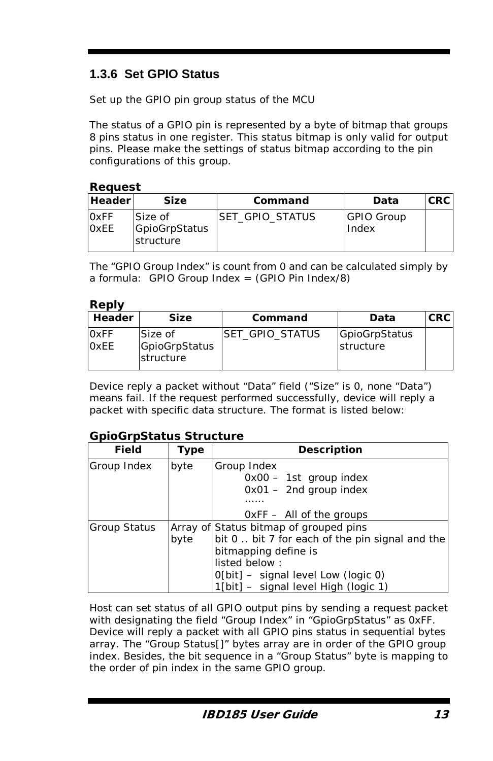# **1.3.6 Set GPIO Status**

Set up the GPIO pin group status of the MCU

The status of a GPIO pin is represented by a byte of bitmap that groups 8 pins status in one register. This status bitmap is only valid for output pins. Please make the settings of status bitmap according to the pin configurations of this group.

#### *Request*

| <b>Header</b>              | Size                                          | Command         | Data                       | <b>CRC</b> |
|----------------------------|-----------------------------------------------|-----------------|----------------------------|------------|
| <b>OxFF</b><br><b>OxEE</b> | Size of<br>GpioGrpStatus<br><b>Istructure</b> | SET GPIO STATUS | <b>GPIO Group</b><br>Index |            |

The "GPIO Group Index" is count from 0 and can be calculated simply by a formula: GPIO Group Index =  $(GPIO Pin Index/8)$ 

#### *Reply*

| Header                     | <b>Size</b>                           | Command          | Data                       | <b>CRC</b> |
|----------------------------|---------------------------------------|------------------|----------------------------|------------|
| <b>OxFF</b><br><b>OxEE</b> | Size of<br>GpioGrpStatus<br>structure | ISET GPIO STATUS | GpioGrpStatus<br>structure |            |

Device reply a packet without "Data" field ("Size" is 0, none "Data") means fail. If the request performed successfully, device will reply a packet with specific data structure. The format is listed below:

#### *GpioGrpStatus Structure*

| Field        | Type | <b>Description</b>                              |
|--------------|------|-------------------------------------------------|
| Group Index  | byte | Group Index                                     |
|              |      | $0x00 - 1st$ group index                        |
|              |      | $0x01 - 2nd$ group index                        |
|              |      |                                                 |
|              |      | $OxFF - All$ of the groups                      |
| Group Status |      | Array of Status bitmap of grouped pins          |
|              | byte | bit 0. bit 7 for each of the pin signal and the |
|              |      | bitmapping define is                            |
|              |      | listed below:                                   |
|              |      | $O[\text{bit}]$ – signal level Low (logic 0)    |
|              |      | $1$ [bit] – signal level High (logic 1)         |

Host can set status of all GPIO output pins by sending a request packet with designating the field "Group Index" in "GpioGrpStatus" as 0xFF. Device will reply a packet with all GPIO pins status in sequential bytes array. The "Group Status[]" bytes array are in order of the GPIO group index. Besides, the bit sequence in a "Group Status" byte is mapping to the order of pin index in the same GPIO group.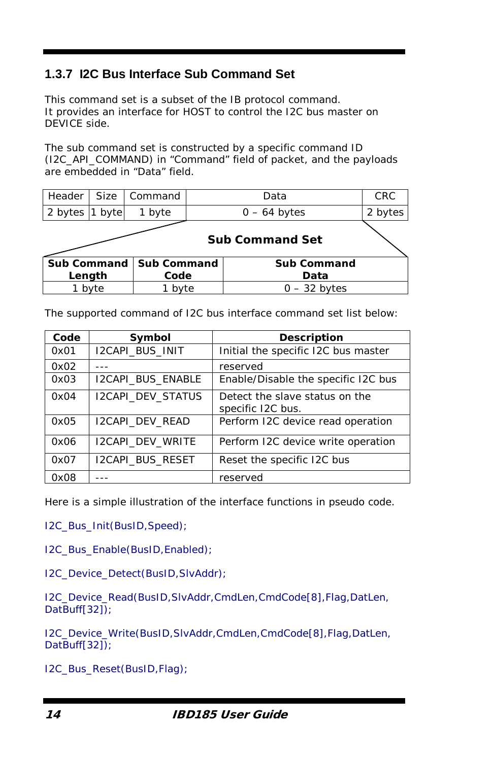# **1.3.7 I2C Bus Interface Sub Command Set**

This command set is a subset of the IB protocol command. It provides an interface for HOST to control the I2C bus master on DEVICE side.

The sub command set is constructed by a specific command ID (I2C\_API\_COMMAND) in "Command" field of packet, and the payloads are embedded in "Data" field.

| Header             | <b>Size</b> | Command            | Data                   | <b>CRC</b> |  |
|--------------------|-------------|--------------------|------------------------|------------|--|
| 2 bytes 1          | byte        | byte               | $0 - 64$ bytes         |            |  |
|                    |             |                    | <b>Sub Command Set</b> |            |  |
| <b>Sub Command</b> |             | <b>Sub Command</b> | <b>Sub Command</b>     |            |  |
| Length             |             | Code               | Data                   |            |  |
|                    | byte        | 1 byte             | $0 - 32$ bytes         |            |  |

The supported command of I2C bus interface command set list below:

| Code | Symbol                   | <b>Description</b>                                  |
|------|--------------------------|-----------------------------------------------------|
| 0x01 | <b>I2CAPI BUS INIT</b>   | Initial the specific I2C bus master                 |
| 0x02 |                          | reserved                                            |
| 0x03 | <b>I2CAPI BUS ENABLE</b> | Enable/Disable the specific I2C bus                 |
| 0x04 | <b>I2CAPI DEV STATUS</b> | Detect the slave status on the<br>specific I2C bus. |
| 0x05 | <b>I2CAPI DEV READ</b>   | Perform I2C device read operation                   |
| 0x06 | <b>I2CAPI DEV WRITE</b>  | Perform I2C device write operation                  |
| 0x07 | <b>I2CAPI BUS RESET</b>  | Reset the specific I2C bus                          |
| 0x08 |                          | reserved                                            |

Here is a simple illustration of the interface functions in pseudo code.

I2C\_Bus\_Init(BusID,Speed);

I2C\_Bus\_Enable(BusID,Enabled);

I2C\_Device\_Detect(BusID,SlvAddr);

I2C\_Device\_Read(BusID,SlvAddr,CmdLen,CmdCode[8],Flag,DatLen, DatBuff[32]);

I2C\_Device\_Write(BusID,SlvAddr,CmdLen,CmdCode[8],Flag,DatLen, DatBuff[32]);

I2C\_Bus\_Reset(BusID,Flag);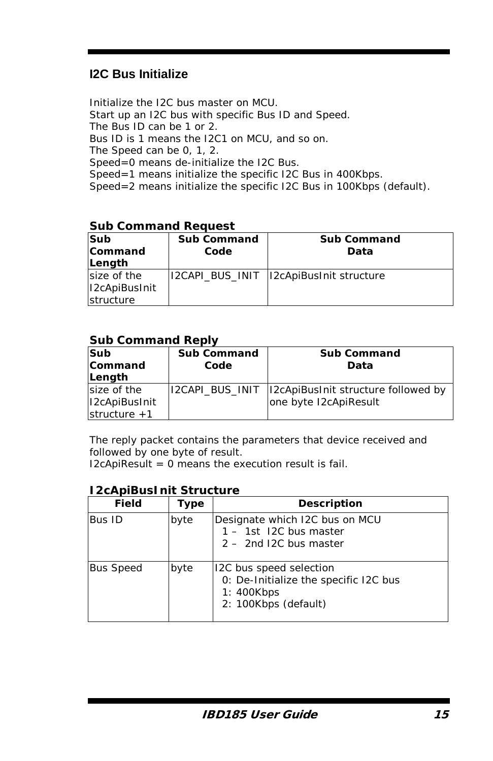# **I2C Bus Initialize**

Initialize the I2C bus master on MCU. Start up an I2C bus with specific Bus ID and Speed. The Bus ID can be 1 or 2. Bus ID is 1 means the I2C1 on MCU, and so on. The Speed can be 0, 1, 2. Speed=0 means de-initialize the I2C Bus. Speed=1 means initialize the specific I2C Bus in 400Kbps. Speed=2 means initialize the specific I2C Bus in 100Kbps (default).

#### *Sub Command Request*

| Sub<br>Command<br>Length                  | <b>Sub Command</b><br>Code | <b>Sub Command</b><br>Data                |
|-------------------------------------------|----------------------------|-------------------------------------------|
| size of the<br>I2cApiBusInit<br>structure |                            | I2CAPI BUS INIT   I2cApiBusInit structure |

#### *Sub Command Reply*

| Sub<br>Command<br>Length                       | <b>Sub Command</b><br>Code | <b>Sub Command</b><br>Data                                                    |
|------------------------------------------------|----------------------------|-------------------------------------------------------------------------------|
| size of the<br>I2cApiBusInit<br>structure $+1$ |                            | I2CAPI_BUS_INIT  I2cApiBusInit structure followed by<br>one byte I2cApiResult |

The reply packet contains the parameters that device received and followed by one byte of result.

 $I2c$ Api $Result = 0$  means the execution result is fail.

### *I2cApiBusInit Structure*

| <b>Field</b>     | Type | Description                                                                                            |
|------------------|------|--------------------------------------------------------------------------------------------------------|
| Bus ID           | byte | Designate which I2C bus on MCU<br>1 - 1st I2C bus master<br>$2 - 2$ nd I2C bus master                  |
| <b>Bus Speed</b> | byte | 12C bus speed selection<br>0: De-Initialize the specific I2C bus<br>1: 400Kbps<br>2: 100Kbps (default) |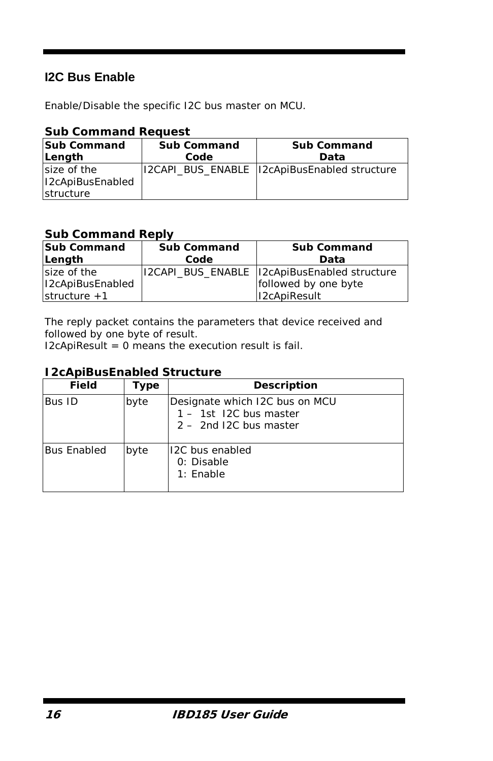# **I2C Bus Enable**

Enable/Disable the specific I2C bus master on MCU.

| <b>Sub</b> command Reguest      |                    |                                              |
|---------------------------------|--------------------|----------------------------------------------|
| <b>Sub Command</b>              | <b>Sub Command</b> | <b>Sub Command</b>                           |
| Length                          | Code               | Data                                         |
| size of the<br>I2cApiBusEnabled |                    | 12CAPI BUS ENABLE 12cApiBusEnabled structure |
| structure                       |                    |                                              |

### *Sub Command Request*

## *Sub Command Reply*

| <b>Sub Command</b> | <b>Sub Command</b> | <b>Sub Command</b>                           |
|--------------------|--------------------|----------------------------------------------|
| Length             | Code               | Data                                         |
| size of the        |                    | I2CAPI BUS ENABLE I2cApiBusEnabled structure |
| I2cApiBusEnabled   |                    | followed by one byte                         |
| structure $+1$     |                    | I2cApiResult                                 |

The reply packet contains the parameters that device received and followed by one byte of result.

 $I2c$ ApiResult = 0 means the execution result is fail.

## *I2cApiBusEnabled Structure*

| <b>Field</b>       | Type | Description                                                                          |
|--------------------|------|--------------------------------------------------------------------------------------|
| Bus ID             | byte | Designate which I2C bus on MCU<br>1 - 1st I2C bus master<br>$2 - 2nd$ I2C bus master |
| <b>Bus Enabled</b> | byte | 12C bus enabled<br>0: Disable<br>$1:$ Enable                                         |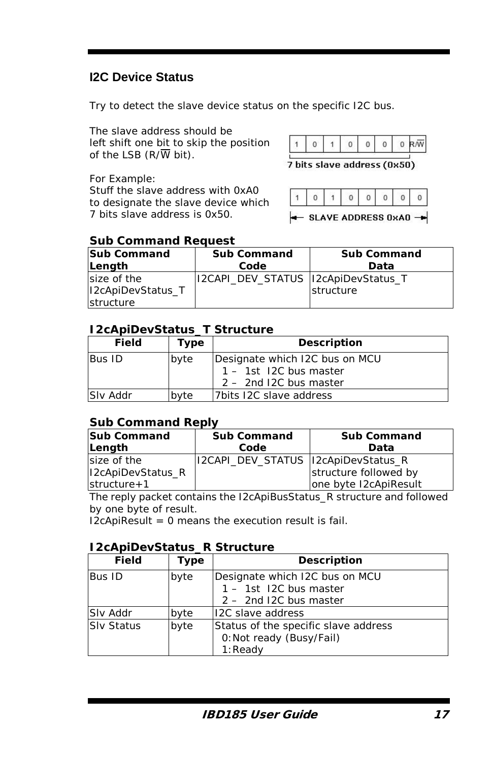# **I2C Device Status**

Try to detect the slave device status on the specific I2C bus.

The slave address should be left shift one bit to skip the position of the LSB  $(R/\overline{W})$  bit).

|--|--|--|--|--|--|--|--|

7 bits slave address (0x50)

For Example: Stuff the slave address with 0xA0 to designate the slave device which 7 bits slave address is 0x50.

|--|--|--|--|--|--|--|--|

 $\leftarrow$  SLAVE ADDRESS 0xA0  $\rightarrow$ 

### *Sub Command Request*

| <b>Sub Command</b><br>Length | <b>Sub Command</b><br>Code           | <b>Sub Command</b><br>Data |
|------------------------------|--------------------------------------|----------------------------|
| size of the                  | I2CAPI_DEV_STATUS  I2cApiDevStatus_T |                            |
| I2cApiDevStatus T            |                                      | structure                  |
| structure                    |                                      |                            |

## *I2cApiDevStatus\_T Structure*

| Field    | Type | <b>Description</b>                                                                 |
|----------|------|------------------------------------------------------------------------------------|
| Bus ID   | byte | Designate which I2C bus on MCU<br>1 - 1st I2C bus master<br>2 - 2nd I2C bus master |
| Slv Addr | byte | 7bits 12C slave address                                                            |

## *Sub Command Reply*

| <b>Sub Command</b> | <b>Sub Command</b>                   | <b>Sub Command</b>    |
|--------------------|--------------------------------------|-----------------------|
| Length             | Code                                 | Data                  |
| size of the        | I2CAPI_DEV_STATUS  I2cApiDevStatus_R |                       |
| I2cApiDevStatus_R  |                                      | structure followed by |
| $structure + 1$    |                                      | one byte I2cApiResult |

The reply packet contains the I2cApiBusStatus\_R structure and followed by one byte of result.

 $I2c$ Api $Result = 0$  means the execution result is fail.

## *I2cApiDevStatus\_R Structure*

| <b>Field</b>      | Type | Description                          |
|-------------------|------|--------------------------------------|
| Bus ID            | byte | Designate which I2C bus on MCU       |
|                   |      | 1 - 1st I2C bus master               |
|                   |      | $2 - 2$ nd I2C bus master            |
| Slv Addr          | byte | <b>I2C</b> slave address             |
| <b>Slv Status</b> | byte | Status of the specific slave address |
|                   |      | 0: Not ready (Busy/Fail)             |
|                   |      | $1:$ Ready                           |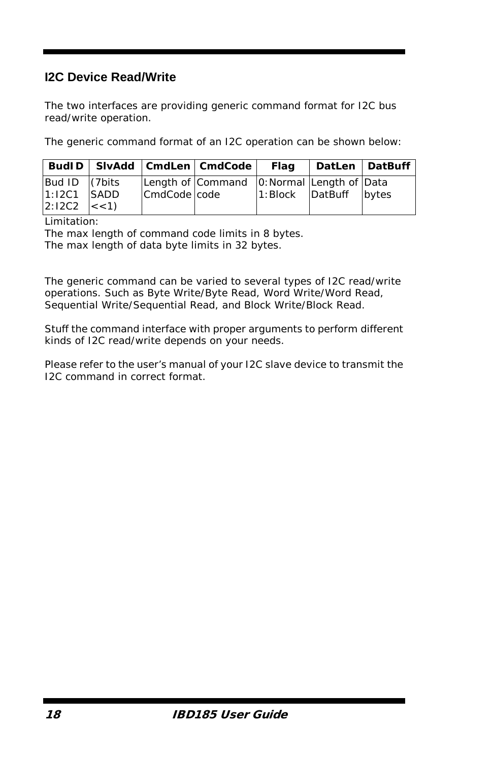# **I2C Device Read/Write**

The two interfaces are providing generic command format for I2C bus read/write operation.

The generic command format of an I2C operation can be shown below:

|                                                     |              | BudID   SIvAdd   CmdLen   CmdCode          | Flag |                        | DatLen   DatBuff |
|-----------------------------------------------------|--------------|--------------------------------------------|------|------------------------|------------------|
| Bud ID (7bits<br>$1:12C1$ SADD<br>$2:12C2$ $\leq$ 1 | CmdCode code | Length of Command 0: Normal Length of Data |      | 1: Block DatBuff bytes |                  |

Limitation:

The max length of command code limits in 8 bytes. The max length of data byte limits in 32 bytes.

The generic command can be varied to several types of I2C read/write operations. Such as Byte Write/Byte Read, Word Write/Word Read, Sequential Write/Sequential Read, and Block Write/Block Read.

Stuff the command interface with proper arguments to perform different kinds of I2C read/write depends on your needs.

Please refer to the user's manual of your I2C slave device to transmit the I2C command in correct format.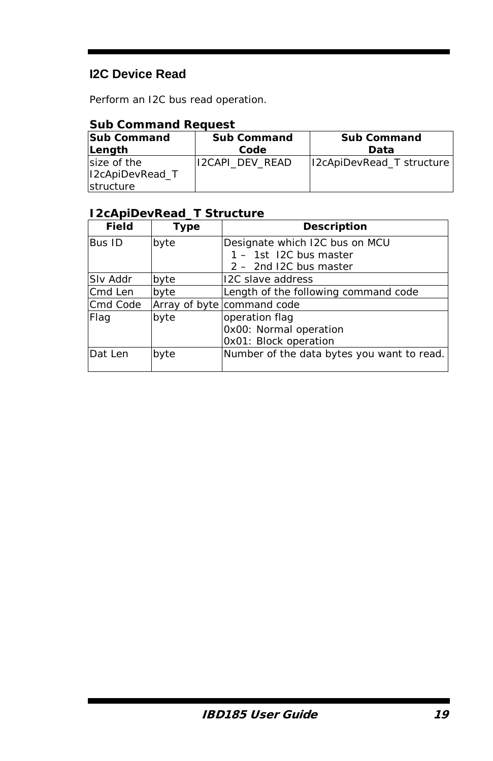# **I2C Device Read**

Perform an I2C bus read operation.

## *Sub Command Request*

| <b>Sub Command</b><br>Length | <b>Sub Command</b><br>Code | <b>Sub Command</b><br>Data |
|------------------------------|----------------------------|----------------------------|
| size of the                  | 12CAPI DEV READ            | I2cApiDevRead T structure  |
| I2cApiDevRead T              |                            |                            |
| structure                    |                            |                            |

## *I2cApiDevRead\_T Structure*

| Field    | <b>Type</b> | <b>Description</b>                         |
|----------|-------------|--------------------------------------------|
| Bus ID   | byte        | Designate which I2C bus on MCU             |
|          |             | 1 - 1st I2C bus master                     |
|          |             | $2 - 2$ nd I2C bus master                  |
| Slv Addr | byte        | <b>I2C</b> slave address                   |
| Cmd Len  | byte        | Length of the following command code       |
| Cmd Code |             | Array of byte command code                 |
| Flag     | byte        | operation flag                             |
|          |             | Ox00: Normal operation                     |
|          |             | OxO1: Block operation                      |
| Dat Len  | byte        | Number of the data bytes you want to read. |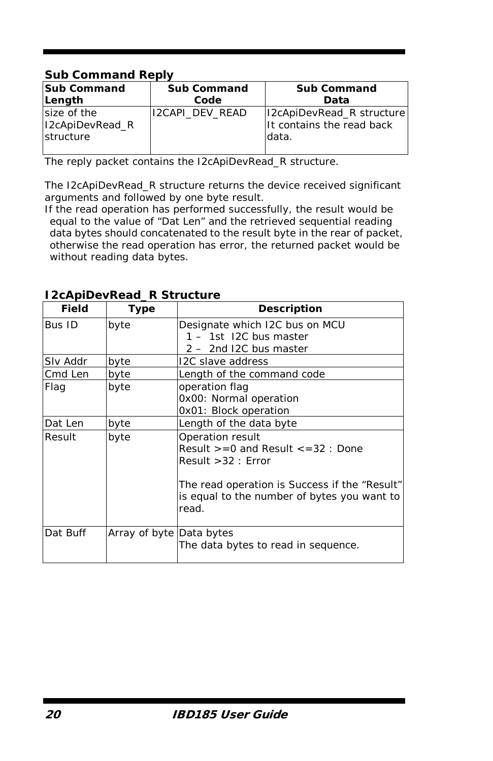## *Sub Command Reply*

| <b>Sub Command</b>                          | <b>Sub Command</b> | <b>Sub Command</b>                                               |
|---------------------------------------------|--------------------|------------------------------------------------------------------|
| Length                                      | Code               | Data                                                             |
| size of the<br>I2cApiDevRead R<br>structure | 12CAPI DEV READ    | I2cApiDevRead_R structure<br>It contains the read back<br>ldata. |

The reply packet contains the I2cApiDevRead\_R structure.

The I2cApiDevRead\_R structure returns the device received significant arguments and followed by one byte result.

If the read operation has performed successfully, the result would be equal to the value of "Dat Len" and the retrieved sequential reading data bytes should concatenated to the result byte in the rear of packet, otherwise the read operation has error, the returned packet would be without reading data bytes.

| Field    | Type                     | <b>Description</b>                                                                                                                                                                              |
|----------|--------------------------|-------------------------------------------------------------------------------------------------------------------------------------------------------------------------------------------------|
| Bus ID   | byte                     | Designate which I2C bus on MCU<br>1 - 1st I2C bus master<br>2 - 2nd I2C bus master                                                                                                              |
| Slv Addr | byte                     | I2C slave address                                                                                                                                                                               |
| Cmd Len  | byte                     | Length of the command code                                                                                                                                                                      |
| Flag     | byte                     | operation flag<br>OxOO: Normal operation<br>OxO1: Block operation                                                                                                                               |
| Dat Len  | byte                     | Length of the data byte                                                                                                                                                                         |
| Result   | byte                     | Operation result<br>Result $>= 0$ and Result $\lt = 32$ : Done<br>Result $>32$ : Error<br>The read operation is Success if the "Result"<br>is equal to the number of bytes you want to<br>read. |
| Dat Buff | Array of byte Data bytes | The data bytes to read in sequence.                                                                                                                                                             |

### *I2cApiDevRead\_R Structure*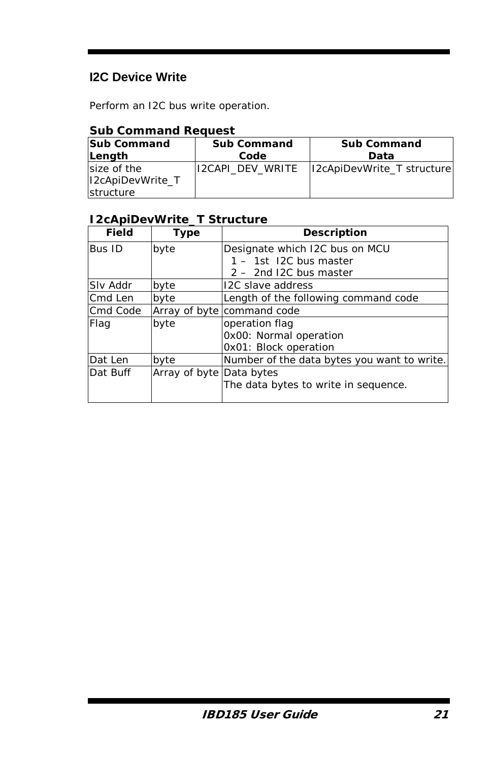# **I2C Device Write**

Perform an I2C bus write operation.

## *Sub Command Request*

| <b>Sub Command</b> | <b>Sub Command</b> | <b>Sub Command</b>                |  |  |
|--------------------|--------------------|-----------------------------------|--|--|
| Length             | Code               | Data                              |  |  |
| size of the        | li2CAPI DEV WRITE  | <b>I2cApiDevWrite T structure</b> |  |  |
| I2cApiDevWrite T   |                    |                                   |  |  |
| structure          |                    |                                   |  |  |

# *I2cApiDevWrite\_T Structure*

| Field    | <b>Type</b>              | Description                                 |
|----------|--------------------------|---------------------------------------------|
| Bus ID   | byte                     | Designate which I2C bus on MCU              |
|          |                          | 1 - 1st I2C bus master                      |
|          |                          | 2 - 2nd I2C bus master                      |
| Slv Addr | byte                     | <b>I2C</b> slave address                    |
| Cmd Len  | byte                     | Length of the following command code        |
| Cmd Code |                          | Array of byte command code                  |
| Flag     | byte                     | operation flag                              |
|          |                          | Ox00: Normal operation                      |
|          |                          | OxO1: Block operation                       |
| Dat Len  | byte                     | Number of the data bytes you want to write. |
| Dat Buff | Array of byte Data bytes |                                             |
|          |                          | The data bytes to write in sequence.        |
|          |                          |                                             |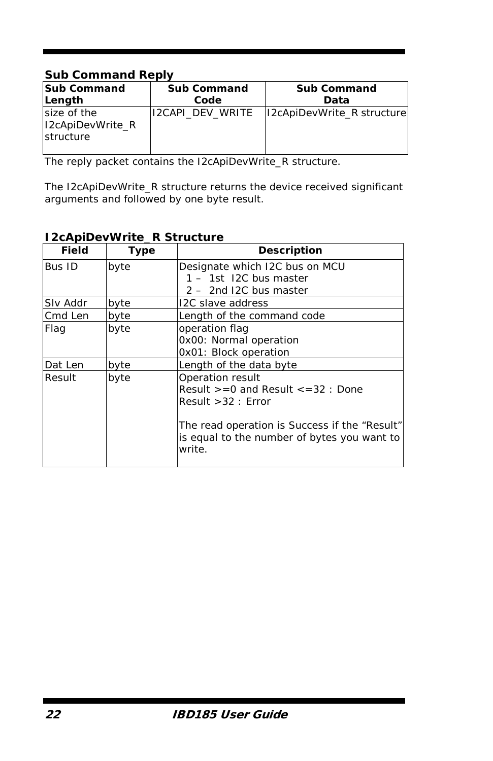## *Sub Command Reply*

| <b>Sub Command</b>                           | <b>Sub Command</b>      | <b>Sub Command</b>                |
|----------------------------------------------|-------------------------|-----------------------------------|
| Length                                       | Code                    | Data                              |
| size of the<br>I2cApiDevWrite R<br>structure | <b>I2CAPI DEV WRITE</b> | <b>I2cApiDevWrite R structure</b> |

The reply packet contains the I2cApiDevWrite\_R structure.

The I2cApiDevWrite\_R structure returns the device received significant arguments and followed by one byte result.

## *I2cApiDevWrite\_R Structure*

| <b>Field</b> | <b>Type</b> | <b>Description</b>                                                                                                                                                                               |
|--------------|-------------|--------------------------------------------------------------------------------------------------------------------------------------------------------------------------------------------------|
| Bus ID       | byte        | Designate which I2C bus on MCU<br>1 - 1st I2C bus master<br>2 - 2nd I2C bus master                                                                                                               |
| Slv Addr     | byte        | I2C slave address                                                                                                                                                                                |
| Cmd Len      | byte        | Length of the command code                                                                                                                                                                       |
| Flag         | byte        | operation flag<br>0x00: Normal operation<br>OxO1: Block operation                                                                                                                                |
| Dat Len      | byte        | Length of the data byte                                                                                                                                                                          |
| Result       | byte        | Operation result<br>Result $>= 0$ and Result $\lt = 32$ : Done<br>Result $>32$ : Error<br>The read operation is Success if the "Result"<br>is equal to the number of bytes you want to<br>write. |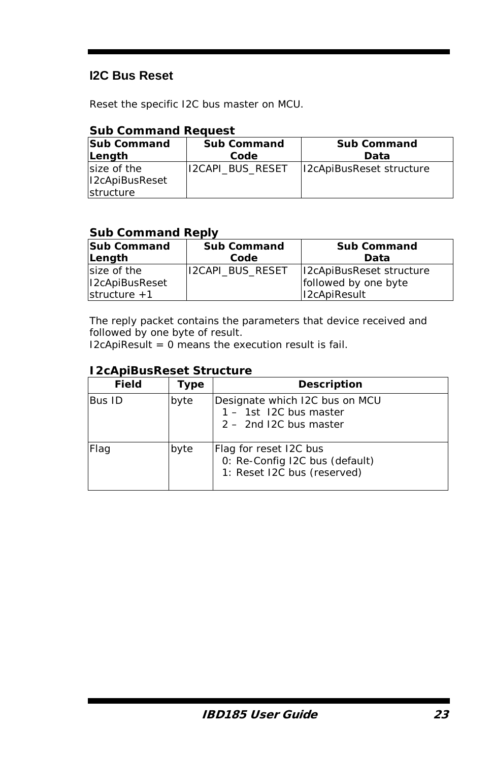# **I2C Bus Reset**

Reset the specific I2C bus master on MCU.

### *Sub Command Request*

| <b>Sub Command</b> | <b>Sub Command</b>      | <b>Sub Command</b>       |  |  |  |
|--------------------|-------------------------|--------------------------|--|--|--|
| Length             | Code                    | Data                     |  |  |  |
| size of the        | <b>I2CAPI BUS RESET</b> | I2cApiBusReset structure |  |  |  |
| I2cApiBusReset     |                         |                          |  |  |  |
| structure          |                         |                          |  |  |  |

### *Sub Command Reply*

| <b>Sub Command</b> | <b>Sub Command</b>      | <b>Sub Command</b>              |
|--------------------|-------------------------|---------------------------------|
| Length             | Code                    | Data                            |
| size of the        | <b>I2CAPI BUS RESET</b> | <b>I2cApiBusReset structure</b> |
| I2cApiBusReset     |                         | followed by one byte            |
| structure $+1$     |                         | <b>I2cApiResult</b>             |

The reply packet contains the parameters that device received and followed by one byte of result.

 $I2c$ ApiResult = 0 means the execution result is fail.

#### *I2cApiBusReset Structure*

| Field  | Type | Description                                                                             |
|--------|------|-----------------------------------------------------------------------------------------|
| Bus ID | byte | Designate which I2C bus on MCU<br>1 - 1st I2C bus master<br>2 - 2nd I2C bus master      |
| Flag   | byte | Flag for reset I2C bus<br>0: Re-Config I2C bus (default)<br>1: Reset I2C bus (reserved) |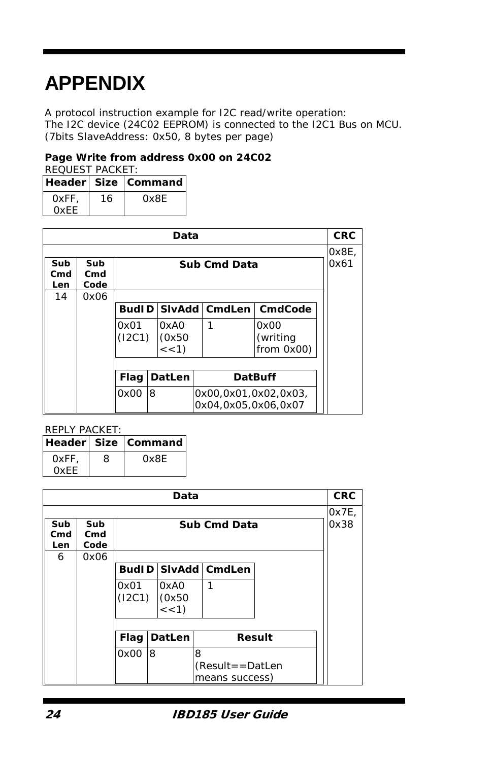# **APPENDIX**

A protocol instruction example for I2C read/write operation: The I2C device (24C02 EEPROM) is connected to the I2C1 Bus on MCU. (7bits SlaveAddress: 0x50, 8 bytes per page)

#### **Page Write from address 0x00 on 24C02**

REQUEST PACKET:

|             |    | Header Size Command |
|-------------|----|---------------------|
| OxFF.       | 16 | Ox8E                |
| <b>OXFF</b> |    |                     |

| Data                              |             |                                                          |                         |  |                                |               |  |  |
|-----------------------------------|-------------|----------------------------------------------------------|-------------------------|--|--------------------------------|---------------|--|--|
| Sub<br>Sub<br><b>Sub Cmd Data</b> |             |                                                          |                         |  |                                | 0x8E,<br>0x61 |  |  |
| Cmd<br>Len                        | Cmd<br>Code |                                                          |                         |  |                                |               |  |  |
| 14                                | 0x06        |                                                          |                         |  |                                |               |  |  |
|                                   |             |                                                          |                         |  | BudID SivAdd CmdLen CmdCode    |               |  |  |
|                                   |             | 0x01<br>(12C1)                                           | 0xA0<br>(0x50)<br><< 1) |  | 0x00<br>(writing<br>from 0x00) |               |  |  |
|                                   |             |                                                          |                         |  |                                |               |  |  |
|                                   |             | <b>Flag</b><br>DatLen<br><b>DatBuff</b>                  |                         |  |                                |               |  |  |
|                                   |             | 0x00<br>8<br>0x00,0x01,0x02,0x03,<br>0x04,0x05,0x06,0x07 |                         |  |                                |               |  |  |

#### REPLY PACKET:

|      |   | Header Size   Command |
|------|---|-----------------------|
| 0xFF | 8 | Ox8E                  |
| 0xFF |   |                       |

| Data              |                    |                                                             |   |  |   |                            | <b>CRC</b> |               |
|-------------------|--------------------|-------------------------------------------------------------|---|--|---|----------------------------|------------|---------------|
| Sub<br>Cmd<br>Len | Sub<br>Cmd<br>Code | Sub Cmd Data                                                |   |  |   |                            |            | 0x7E,<br>0x38 |
| 6                 | 0x06               |                                                             |   |  |   |                            |            |               |
|                   |                    |                                                             |   |  |   | <b>BudID SivAdd CmdLen</b> |            |               |
|                   |                    | 0x01<br>1<br>0xA0<br>(I2C1)<br>(0x50)<br>$\frac{1}{5}$ < 1) |   |  |   |                            |            |               |
|                   |                    |                                                             |   |  |   |                            |            |               |
|                   |                    | DatLen<br>Flag<br>Result                                    |   |  |   |                            |            |               |
|                   |                    | 0x00                                                        | 8 |  | 8 |                            |            |               |
|                   |                    | $(Result = = DataFrame$<br>means success)                   |   |  |   |                            |            |               |